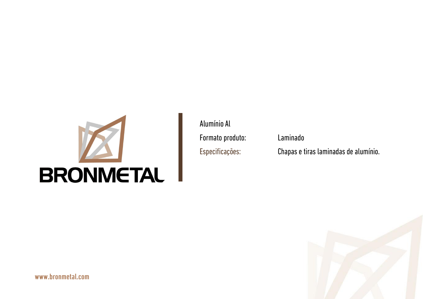

Laminado

www.bronmetal.com

#### Chapas e tiras laminadas de alumínio.

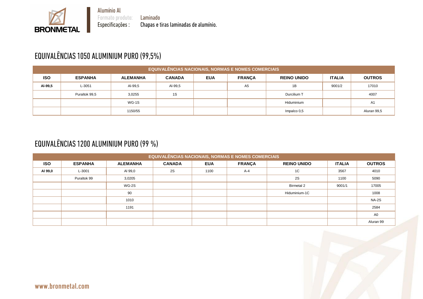

Laminado Chapas e tiras laminadas de alumínio.

# EQUIVALÊNCIAS 1050 ALUMINIUM PURO (99,5%)

**BRONMETAL** 

|            | <b>EQUIVALÊNCIAS NACIONAIS, NORMAS E NOMES COMERCIAIS</b> |                 |               |            |                |                    |               |                |  |  |  |  |  |
|------------|-----------------------------------------------------------|-----------------|---------------|------------|----------------|--------------------|---------------|----------------|--|--|--|--|--|
| <b>ISO</b> | <b>ESPANHA</b>                                            | <b>ALEMANHA</b> | <b>CANADA</b> | <b>EUA</b> | <b>FRANÇA</b>  | <b>REINO UNIDO</b> | <b>ITALIA</b> | <b>OUTROS</b>  |  |  |  |  |  |
| AI-99,5    | L-3051                                                    | AI-99,5         | Al-99,5       |            | A <sub>5</sub> | 1B                 | 9001/2        | 17010          |  |  |  |  |  |
|            | Puraltok 99,5                                             | 3,0255          | 1S            |            |                | Durcilium T        |               | 4007           |  |  |  |  |  |
|            |                                                           | WG-1S           |               |            |                | Hiduminium         |               | A <sub>1</sub> |  |  |  |  |  |
|            |                                                           | 1150/55         |               |            |                | Impalco 0,5        |               | Aluran 99,5    |  |  |  |  |  |

#### EQUIVALÊNCIAS 1200 ALUMINIUM PURO (99 %)

|            | <b>EQUIVALÊNCIAS NACIONAIS, NORMAS E NOMES COMERCIAIS</b> |                 |               |            |               |                    |               |                |  |  |  |  |  |  |
|------------|-----------------------------------------------------------|-----------------|---------------|------------|---------------|--------------------|---------------|----------------|--|--|--|--|--|--|
| <b>ISO</b> | <b>ESPANHA</b>                                            | <b>ALEMANHA</b> | <b>CANADA</b> | <b>EUA</b> | <b>FRANÇA</b> | <b>REINO UNIDO</b> | <b>ITALIA</b> | <b>OUTROS</b>  |  |  |  |  |  |  |
| AI 99,0    | L-3001                                                    | AI 99,0         | 2S            | 1100       | $A-4$         | 1 <sup>C</sup>     | 3567          | 4010           |  |  |  |  |  |  |
|            | Puraltok 99                                               | 3,0205          |               |            |               | 2S                 | 1100          | 5090           |  |  |  |  |  |  |
|            |                                                           | WG-2S           |               |            |               | <b>Birmetal 2</b>  | 9001/1        | 17005          |  |  |  |  |  |  |
|            |                                                           | 90              |               |            |               | Hiduminium-1C      |               | 1008           |  |  |  |  |  |  |
|            |                                                           | 1010            |               |            |               |                    |               | <b>NA-2S</b>   |  |  |  |  |  |  |
|            |                                                           | 1191            |               |            |               |                    |               | 2584           |  |  |  |  |  |  |
|            |                                                           |                 |               |            |               |                    |               | A <sub>0</sub> |  |  |  |  |  |  |
|            |                                                           |                 |               |            |               |                    |               | Aluran 99      |  |  |  |  |  |  |

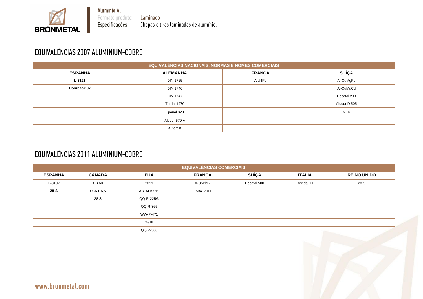

Laminado Chapas e tiras laminadas de alumínio.

## EQUIVALÊNCIAS 2007 ALUMINIUM-COBRE

**BRONMETAL** 

|                     | <b>EQUIVALÊNCIAS NACIONAIS, NORMAS E NOMES COMERCIAIS</b> |               |  |
|---------------------|-----------------------------------------------------------|---------------|--|
| <b>ESPANHA</b>      | <b>ALEMANHA</b>                                           | <b>FRANÇA</b> |  |
| L-3121              | <b>DIN 1725</b>                                           | A U4Pb        |  |
| <b>Cobreltok 07</b> | <b>DIN 1746</b>                                           |               |  |
|                     | <b>DIN 1747</b>                                           |               |  |
|                     | Tordal 1970                                               |               |  |
|                     | Spanal 320                                                |               |  |
|                     | Aludur 570 A                                              |               |  |
|                     | Automat                                                   |               |  |

## EQUIVALÊNCIAS 2011 ALUMINIUM-COBRE

|                |               |                   | <b>EQUIVALÊNCIAS COMERCIAIS</b> |              |               |                    |
|----------------|---------------|-------------------|---------------------------------|--------------|---------------|--------------------|
| <b>ESPANHA</b> | <b>CANADA</b> | <b>EUA</b>        | <b>FRANÇA</b>                   | <b>SUÍÇA</b> | <b>ITALIA</b> | <b>REINO UNIDO</b> |
| L-3192         | CB 60         | 2011              | A-U5PbBi                        | Decotal 500  | Recidal 11    | 28 S               |
| $28-S$         | CSA HA,5      | <b>ASTM B 211</b> | Fortal 2011                     |              |               |                    |
|                | 28 S          | QQ-R-225/3        |                                 |              |               |                    |
|                |               | QQ-R-365          |                                 |              |               |                    |
|                |               | <b>WW-P-471</b>   |                                 |              |               |                    |
|                |               | Ty III            |                                 |              |               |                    |
|                |               | QQ-R-566          |                                 |              |               |                    |
|                |               |                   |                                 |              |               |                    |



| <b>SUÍÇA</b> |  |
|--------------|--|
| Al-CuMgPb    |  |
| Al-CuMgCd    |  |
| Decotal 200  |  |
| Aludur D 505 |  |
| <b>MFK</b>   |  |
|              |  |
|              |  |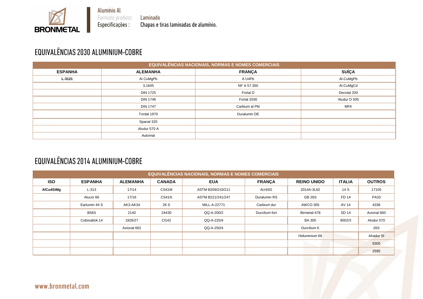Laminado Chapas e tiras laminadas de alumínio.

# EQUIVALÊNCIAS 2030 ALUMINIUM-COBRE

**BRONMETAL** 

|                |                 | <b>EQUIVALÊNCIAS NACIONAIS, NORMAS E NOMES COMERCIAIS</b> |              |
|----------------|-----------------|-----------------------------------------------------------|--------------|
| <b>ESPANHA</b> | <b>ALEMANHA</b> | <b>FRANÇA</b>                                             | <b>SUÍÇA</b> |
| $L - 3121$     | Al CuMgPb       | A U4Pb                                                    | Al-CuMgPb    |
|                | 3,1645          | NF A 57.350                                               | Al-CuMgCd    |
|                | <b>DIN 1725</b> | Fortal D                                                  | Decotal 200  |
|                | <b>DIN 1746</b> | Fortal 2030                                               | Aludur D 505 |
|                | <b>DIN 1747</b> | Carbium al Pbl                                            | <b>MFK</b>   |
|                | Tordal 1970     | Duralumin DE                                              |              |
|                | Spanal 320      |                                                           |              |
|                | Aludur 570 A    |                                                           |              |
|                | Automat         |                                                           |              |

# EQUIVALÊNCIAS 2014 ALUMINIUM-COBRE

|            |                |                 |               | <b>EQUIVALÊNCIAS NACIONAIS, NORMAS E NOMES COMERCIAIS</b> |                |                    |               |                   |
|------------|----------------|-----------------|---------------|-----------------------------------------------------------|----------------|--------------------|---------------|-------------------|
| <b>ISO</b> | <b>ESPANHA</b> | <b>ALEMANHA</b> | <b>CANADA</b> | <b>EUA</b>                                                | <b>FRANÇA</b>  | <b>REINO UNIDO</b> | <b>ITALIA</b> | <b>OUTROS</b>     |
| AICu4SiMg  | $L-313$        | 17/14           | CS41M         | ASTM B209/210/211                                         | AU4SG          | 2014A-3L62         | 14 S          | 17105             |
|            | Alucor 66      | 17/16           | CS41N         | ASTM B221/241/247                                         | Duralumin RS   | <b>GB 26S</b>      | FD 14         | <b>PA33</b>       |
|            | Earlumin 44 S  | AK3-AK34        | 26 S          | MILL-A-22771                                              | Carbium dur    | <b>AWCO 305</b>    | AV 14         | 4338              |
|            | <b>B56S</b>    | 2140            | 24430         | QQ-A-200/2                                                | Durcilium fort | Birmetal-478       | SD 14         | Avional 660       |
|            | Cobrealtok 14  | 1826/27         | CG42          | QQ-A-225/4                                                |                | <b>BA 305</b>      | 9002/3        | Aludur 570        |
|            |                | Avional 662     |               | QQ-A-250/4                                                |                | Durcilium K        |               | 26S               |
|            |                |                 |               |                                                           |                | Hiduminium 66      |               | <b>Alradur SI</b> |
|            |                |                 |               |                                                           |                |                    |               | 6305              |
|            |                |                 |               |                                                           |                |                    |               | 2595              |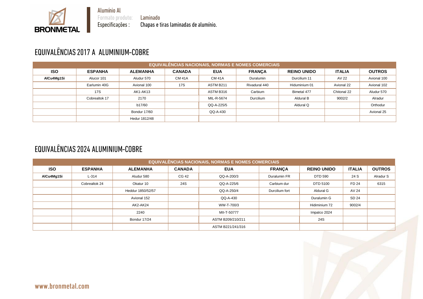Laminado Chapas e tiras laminadas de alumínio.

# EQUIVALÊNCIAS 2017 A ALUMINIUM-COBRE

**BRONMETAL** 

|            |                |                 |               |               | <b>EQUIVALÊNCIAS NACIONAIS, NORMAS E NOMES COMERCIAIS</b> |                    |               |               |
|------------|----------------|-----------------|---------------|---------------|-----------------------------------------------------------|--------------------|---------------|---------------|
| <b>ISO</b> | <b>ESPANHA</b> | <b>ALEMANHA</b> | <b>CANADA</b> | <b>EUA</b>    | <b>FRANCA</b>                                             | <b>REINO UNIDO</b> | <b>ITALIA</b> | <b>OUTROS</b> |
| AICu4Mg1Si | Alucor 101     | Aludur 570      | <b>CM 41A</b> | <b>CM 41A</b> | Duralumin                                                 | Durcilium 11       | AV 22         | Avional 100   |
|            | Earlumin 40G   | Avional 100     | <b>17S</b>    | ASTM B211     | Rivadural 440                                             | Hiduminium 01      | Avional 22    | Avional 102   |
|            | <b>17S</b>     | AK1-AK13        |               | ASTM B316     | Carbium                                                   | Bimetal 477        | Chitonal 22   | Aludur 570    |
|            | Cobrealtok 17  | 2170            |               | MIL-R-5674    | Durcilium                                                 | Aldural B          | 9002/2        | Alradur       |
|            |                | b17/60          |               | QQ-A-225/5    |                                                           | Aldural Q          |               | Orthodur      |
|            |                | Bondur 17/60    |               | QQ-A-430      |                                                           |                    |               | Avional 25    |
|            |                | Hedur 1812/48   |               |               |                                                           |                    |               |               |

## EQUIVALÊNCIAS 2024 ALUMINIUM-COBRE

|            |                |                   |               | <b>EQUIVALÊNCIAS NACIONAIS, NORMAS E NOMES COMERCIAIS</b> |                |                    |               |               |
|------------|----------------|-------------------|---------------|-----------------------------------------------------------|----------------|--------------------|---------------|---------------|
| <b>ISO</b> | <b>ESPANHA</b> | <b>ALEMANHA</b>   | <b>CANADA</b> | <b>EUA</b>                                                | <b>FRANÇA</b>  | <b>REINO UNIDO</b> | <b>ITALIA</b> | <b>OUTROS</b> |
| AlCu4Mg1Si | $L-314$        | Aludur 580        | CG 42         | QQ-A-200/3                                                | Duralumin FR   | <b>DTD 590</b>     | 24 S          | Alradur S     |
|            | Cobrealtok 24  | Okatur 10         | 24S           | QQ-A-225/6                                                | Carbium dur    | DTD 5100           | FD 24         | 6315          |
|            |                | Heddur 1850/52/57 |               | QQ-A-250/4                                                | Durcilium fort | Aldural G          | AV 24         |               |
|            |                | Avional 152       |               | QQ-A-430                                                  |                | Duralumin G        | SD 24         |               |
|            |                | AK2-AK24          |               | WW-T-700/3                                                |                | Hidiminium 72      | 9002/4        |               |
|            |                | 2240              |               | MII-T-50777                                               |                | Impalco 2024       |               |               |
|            |                | Bondur 17/24      |               | ASTM B209/210/211                                         |                | 24S                |               |               |
|            |                |                   |               | ASTM B221/241/316                                         |                |                    |               |               |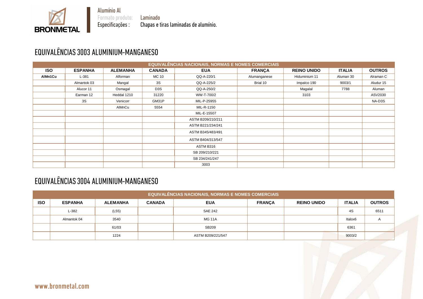Laminado Chapas e tiras laminadas de alumínio.

# EQUIVALÊNCIAS 3003 ALUMINIUM-MANGANESO

**BRONMETAL** 

|            |                |                 |                  | <b>EQUIVALÊNCIAS NACIONAIS, NORMAS E NOMES COMERCIAIS</b> |               |                    |               |               |
|------------|----------------|-----------------|------------------|-----------------------------------------------------------|---------------|--------------------|---------------|---------------|
| <b>ISO</b> | <b>ESPANHA</b> | <b>ALEMANHA</b> | <b>CANADA</b>    | <b>EUA</b>                                                | <b>FRANÇA</b> | <b>REINO UNIDO</b> | <b>ITALIA</b> | <b>OUTROS</b> |
| AIMn1Cu    | $L-381$        | Alforman        | <b>MC 10</b>     | QQ-A-220/1                                                | Alumanganese  | Hiduminium 11      | Aluman 30     | Alraman C     |
|            | Almantok 03    | Mangal          | 3S               | QQ-A-225/2                                                | Brial 10      | Impalco 190        | 9003/1        | Aludur 15     |
|            | Alucor 11      | Osmagal         | D <sub>3</sub> S | QQ-A-250/2                                                |               | Magalal            | 7788          | Aluman        |
|            | Earman 12      | Heddal 1210     | 31220            | WW-T-700/2                                                |               | 3103               |               | ASV2030       |
|            | 3S             | Venicorr        | GM31P            | MIL-P-25955                                               |               |                    |               | NA-D3S        |
|            |                | AlMnCu          | 5554             | MIL-R-1150                                                |               |                    |               |               |
|            |                |                 |                  | MIL-E-15507                                               |               |                    |               |               |
|            |                |                 |                  | ASTM B209/210/211                                         |               |                    |               |               |
|            |                |                 |                  | ASTM B221/234/241                                         |               |                    |               |               |
|            |                |                 |                  | ASTM B345/483/491                                         |               |                    |               |               |
|            |                |                 |                  | ASTM B404/313/547                                         |               |                    |               |               |
|            |                |                 |                  | ASTM B316                                                 |               |                    |               |               |
|            |                |                 |                  | SB 209/210/221                                            |               |                    |               |               |
|            |                |                 |                  | SB 234/241/247                                            |               |                    |               |               |
|            |                |                 |                  | 3003                                                      |               |                    |               |               |

## EQUIVALÊNCIAS 3004 ALUMINIUM-MANGANESO

|            | <b>EQUIVALÊNCIAS NACIONAIS, NORMAS E NOMES COMERCIAIS</b> |                 |               |                   |               |                    |               |                |  |  |  |  |  |
|------------|-----------------------------------------------------------|-----------------|---------------|-------------------|---------------|--------------------|---------------|----------------|--|--|--|--|--|
| <b>ISO</b> | <b>ESPANHA</b>                                            | <b>ALEMANHA</b> | <b>CANADA</b> | <b>EUA</b>        | <b>FRANÇA</b> | <b>REINO UNIDO</b> | <b>ITALIA</b> | <b>OUTROS</b>  |  |  |  |  |  |
|            | $L-382$                                                   | (L55)           |               | <b>SAE 242</b>    |               |                    | 4S            | 6511           |  |  |  |  |  |
|            | Almantok 04                                               | 3540            |               | <b>MG 11A</b>     |               |                    | Italox6       | $\overline{A}$ |  |  |  |  |  |
|            |                                                           | 61/03           |               | SB209             |               |                    | 6361          |                |  |  |  |  |  |
|            |                                                           | 1224            |               | ASTM B209/221/547 |               |                    | 9003/2        |                |  |  |  |  |  |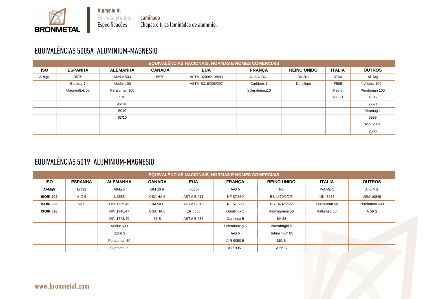Laminado Chapas e tiras laminadas de alumínio.

## EQUIVALÊNCIAS 5005A ALUMINIUM-MAGNESIO

**BRONMETAL** 

|            | EQUIVALÊNCIAS NACIONAIS, NORMAS E NOMES COMERCIAIS |                 |               |                   |               |                    |               |                 |  |  |  |  |  |
|------------|----------------------------------------------------|-----------------|---------------|-------------------|---------------|--------------------|---------------|-----------------|--|--|--|--|--|
| <b>ISO</b> | <b>ESPANHA</b>                                     | <b>ALEMANHA</b> | <b>CANADA</b> | <b>EUA</b>        | <b>FRANÇA</b> | <b>REINO UNIDO</b> | <b>ITALIA</b> | <b>OUTROS</b>   |  |  |  |  |  |
| AIMg1      | <b>B57S</b>                                        | Aludur 503      | <b>B57S</b>   | ASTM B209/210/483 | Alunox OAL    | <b>BA 201</b>      | 5764          | Al1Mg           |  |  |  |  |  |
|            | Earmag 7                                           | Aludur 100      |               | ASTM B316/396/397 | Carbinox 1    | Durcilium          | F505          | Aludur 100      |  |  |  |  |  |
|            | Magnealtok 05                                      | Peraluman 100   |               |                   | Scleralumag10 |                    | Pe0,8         | Peraluman 100   |  |  |  |  |  |
|            |                                                    | 510             |               |                   |               |                    | 9005/1        | 4106            |  |  |  |  |  |
|            |                                                    | AM 16           |               |                   |               |                    |               | 56571           |  |  |  |  |  |
|            |                                                    | 5010            |               |                   |               |                    |               | Alramag 1       |  |  |  |  |  |
|            |                                                    | 63/10           |               |                   |               |                    |               | 5583            |  |  |  |  |  |
|            |                                                    |                 |               |                   |               |                    |               | <b>ASV 2084</b> |  |  |  |  |  |
|            |                                                    |                 |               |                   |               |                    |               | 2586            |  |  |  |  |  |

#### EQUIVALÊNCIAS 5019 ALUMINIUM-MAGNESIO

|                                                                                                                                               |                |                   |               |                   | <b>EQUIVALÊNCIAS NACIONAIS, NORMAS E NOMES COMERCIAIS</b> |                    |                 |                  |  |  |  |  |
|-----------------------------------------------------------------------------------------------------------------------------------------------|----------------|-------------------|---------------|-------------------|-----------------------------------------------------------|--------------------|-----------------|------------------|--|--|--|--|
| <b>ISO</b>                                                                                                                                    | <b>ESPANHA</b> | <b>ALEMANHA</b>   | <b>CANADA</b> | <b>EUA</b>        | <b>FRANÇA</b>                                             | <b>REINO UNIDO</b> | <b>ITALIA</b>   | <b>OUTROS</b>    |  |  |  |  |
| Al-Mg5                                                                                                                                        | $L-332$        | AIMg <sub>5</sub> | GM 50 R       | (5056)            | $A-G5$                                                    | N <sub>6</sub>     | P-AIMg 5        | Al-5 MG          |  |  |  |  |
| <b>ISO/R 209</b>                                                                                                                              | $A-G5$         | 3,3555            | CSA HA,6      | <b>ASTM B 211</b> | NF 57,350                                                 | BS 1470/1/2/3      | <b>UNI 3576</b> | <b>VSM 10849</b> |  |  |  |  |
| <b>ISO/R 826</b><br>56 S<br><b>ASTM B 316</b><br>DIN 1725-45<br><b>GM 50 P</b><br>NF 57,650<br>BS 1474/5/6/7<br>Peraluman 50<br>Peraluman 500 |                |                   |               |                   |                                                           |                    |                 |                  |  |  |  |  |
| <b>ISO/R 828</b>                                                                                                                              |                | DIN 1746/47       | CSA HA,6      | ER 5356           | Duralinox 5                                               | Alumagnese 50      | Itallumag 50    | A 56 S           |  |  |  |  |
|                                                                                                                                               |                | DIN 1748/49       | 56 S          | <b>ASTM B 285</b> | Carbinox 5                                                | <b>BA 28</b>       |                 |                  |  |  |  |  |
|                                                                                                                                               |                | Aludur 500        |               |                   | Scleralumag 5                                             | Birmabright 5      |                 |                  |  |  |  |  |
| $A-G5$<br>Hiduminium 05<br>Optal 5                                                                                                            |                |                   |               |                   |                                                           |                    |                 |                  |  |  |  |  |
|                                                                                                                                               |                | Peraluman 50      |               |                   | AIR 9050 B                                                | MG <sub>5</sub>    |                 |                  |  |  |  |  |
|                                                                                                                                               |                | Supramal 5        |               |                   | AIR 9051                                                  | A 56 S             |                 |                  |  |  |  |  |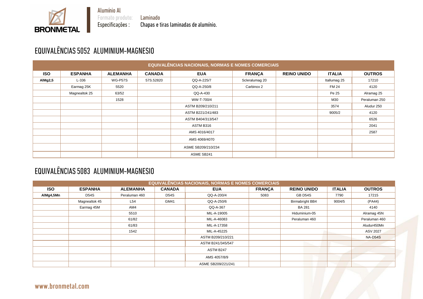Laminado Chapas e tiras laminadas de alumínio.

## EQUIVALÊNCIAS 5052 ALUMINIUM-MAGNESIO

**BRONMETAL** 

|            |                |                 |               | <b>EQUIVALÊNCIAS NACIONAIS, NORMAS E NOMES COMERCIAIS</b> |                |                    |               |               |
|------------|----------------|-----------------|---------------|-----------------------------------------------------------|----------------|--------------------|---------------|---------------|
| <b>ISO</b> | <b>ESPANHA</b> | <b>ALEMANHA</b> | <b>CANADA</b> | <b>EUA</b>                                                | <b>FRANÇA</b>  | <b>REINO UNIDO</b> | <b>ITALIA</b> | <b>OUTROS</b> |
| AIMg2,5    | $L-336$        | WG-P57S         | 57S.52820     | QQ-A-225/7                                                | Scleralumag 20 |                    | Itallumag 25  | 17210         |
|            | Earmag 25K     | 5520            |               | QQ-A-250/8                                                | Carbinox 2     |                    | <b>FM 24</b>  | 4120          |
|            | Magnealtok 25  | 63/52           |               | QQ-A-430                                                  |                |                    | Pe 25         | Alramag 25    |
|            |                | 1528            |               | WW-T-700/4                                                |                |                    | M30           | Peraluman 250 |
|            |                |                 |               | ASTM B209/210/211                                         |                |                    | 3574          | Aludur 250    |
|            |                |                 |               | ASTM B221/241/483                                         |                |                    | 9005/2        | 4120          |
|            |                |                 |               | ASTM B404/313/547                                         |                |                    |               | 6526          |
|            |                |                 |               | ASTM B316                                                 |                |                    |               | 2041          |
|            |                |                 |               | AMS 4016/4017                                             |                |                    |               | 2587          |
|            |                |                 |               | AMS 4069/4070                                             |                |                    |               |               |
|            |                |                 |               | ASME SB209/210/234                                        |                |                    |               |               |
|            |                |                 |               | ASME SB241                                                |                |                    |               |               |

#### EQUIVALÊNCIAS 5083 ALUMINIUM-MAGNESIO

|            | <b>EQUIVALÊNCIAS NACIONAIS, NORMAS E NOMES COMERCIAIS</b> |                                       |               |                    |                                |                        |               |                 |  |  |  |  |  |
|------------|-----------------------------------------------------------|---------------------------------------|---------------|--------------------|--------------------------------|------------------------|---------------|-----------------|--|--|--|--|--|
| <b>ISO</b> | <b>ESPANHA</b>                                            | <b>ALEMANHA</b>                       | <b>CANADA</b> | <b>EUA</b>         | <b>FRANÇA</b>                  | <b>REINO UNIDO</b>     | <b>ITALIA</b> | <b>OUTROS</b>   |  |  |  |  |  |
| AIMg4,5Mn  | <b>D54S</b>                                               | Peraluman 460                         | <b>D54S</b>   | QQ-A-200/4         | <b>GB D54S</b><br>5083<br>7790 |                        |               | 17215           |  |  |  |  |  |
|            | Magnealtok 45                                             | L54                                   | GM41          | QQ-A-250/6         |                                | <b>Birmabright BB4</b> | 9004/5        | (PA44)          |  |  |  |  |  |
|            | Earmag 45M                                                | AM4                                   |               | QQ-A-367           | <b>BA 281</b>                  |                        |               | 4140            |  |  |  |  |  |
|            |                                                           | 5510                                  |               | MIL-A-19005        | Hiduminium-05                  |                        |               | Alramag 45N     |  |  |  |  |  |
|            |                                                           | 61/82<br>Peraluman 460<br>MIL-A-46083 |               | Peraluman 460      |                                |                        |               |                 |  |  |  |  |  |
|            |                                                           | 61/83                                 |               | MIL-A-17358        |                                |                        | Aludur450Mn   |                 |  |  |  |  |  |
|            |                                                           | 1542                                  |               | MIL-A-45225        |                                |                        |               | <b>ASV 2027</b> |  |  |  |  |  |
|            |                                                           |                                       |               | ASTM B209/210/221  |                                |                        |               | NA-D54S         |  |  |  |  |  |
|            |                                                           |                                       |               | ASTM B241/345/547  |                                |                        |               |                 |  |  |  |  |  |
|            |                                                           |                                       |               | ASTM B247          |                                |                        |               |                 |  |  |  |  |  |
|            |                                                           |                                       |               | AMS 4057/8/9       |                                |                        |               |                 |  |  |  |  |  |
|            |                                                           |                                       |               | ASME SB209/221/241 |                                |                        |               |                 |  |  |  |  |  |

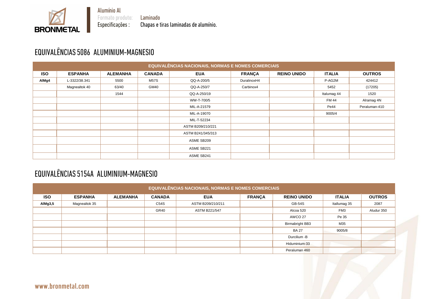Laminado Chapas e tiras laminadas de alumínio.

# EQUIVALÊNCIAS 5086 ALUMINIUM-MAGNESIO

**BRONMETAL** 

|            |                |                 |               | <b>EQUIVALÊNCIAS NACIONAIS, NORMAS E NOMES COMERCIAIS</b> |               |                    |               |               |
|------------|----------------|-----------------|---------------|-----------------------------------------------------------|---------------|--------------------|---------------|---------------|
| <b>ISO</b> | <b>ESPANHA</b> | <b>ALEMANHA</b> | <b>CANADA</b> | <b>EUA</b>                                                | <b>FRANÇA</b> | <b>REINO UNIDO</b> | <b>ITALIA</b> | <b>OUTROS</b> |
| AIMg4      | L-3322/38.341  | 5500            | <b>M57S</b>   | QQ-A-200/5                                                | DuralinoxH4   |                    | P-AG2M        | 424412        |
|            | Magnealtok 40  | 63/40           | GM40          | QQ-A-250/7                                                | Carbinox4     |                    | 5452          | (17205)       |
|            |                | 1544            |               | QQ-A-250/19                                               |               |                    | Italumag 44   | 1520          |
|            |                |                 |               | WW-T-700/5                                                |               |                    | <b>FM 44</b>  | Alramag 4N    |
|            |                |                 |               | MIL-A-21579                                               |               |                    | Pe44          | Peraluman-410 |
|            |                |                 |               | MIL-A-19070                                               |               |                    | 9005/4        |               |
|            |                |                 |               | MIL-T-52234                                               |               |                    |               |               |
|            |                |                 |               | ASTM B209/210/221                                         |               |                    |               |               |
|            |                |                 |               | ASTM B241/345/313                                         |               |                    |               |               |
|            |                |                 |               | ASME SB209                                                |               |                    |               |               |
|            |                |                 |               | ASME SB221                                                |               |                    |               |               |
|            |                |                 |               | ASME SB241                                                |               |                    |               |               |

### EQUIVALÊNCIAS 5154A ALUMINIUM-MAGNESIO

|            | EQUIVALÊNCIAS NACIONAIS, NORMAS E NOMES COMERCIAIS |                 |               |                      |               |                        |                 |               |  |  |  |  |  |
|------------|----------------------------------------------------|-----------------|---------------|----------------------|---------------|------------------------|-----------------|---------------|--|--|--|--|--|
| <b>ISO</b> | <b>ESPANHA</b>                                     | <b>ALEMANHA</b> | <b>CANADA</b> | <b>EUA</b>           | <b>FRANÇA</b> | <b>REINO UNIDO</b>     | <b>ITALIA</b>   | <b>OUTROS</b> |  |  |  |  |  |
| AIMg3,5    | Magnealtok 35                                      |                 | C54S          | ASTM B209/210/211    |               | <b>GB-54S</b>          | Itallumag 35    | 2087          |  |  |  |  |  |
|            |                                                    |                 | GR40          | <b>ASTM B221/547</b> |               | Alcoa 520              | FM <sub>3</sub> | Aludur 350    |  |  |  |  |  |
|            |                                                    |                 |               |                      |               | AWCO 27                | Pe 35           |               |  |  |  |  |  |
|            |                                                    |                 |               |                      |               | <b>Birmabright BB3</b> | M35             |               |  |  |  |  |  |
|            |                                                    |                 |               |                      |               | <b>BA 27</b>           | 9005/8          |               |  |  |  |  |  |
|            |                                                    |                 |               |                      |               | Durcilium -B           |                 |               |  |  |  |  |  |
|            |                                                    |                 |               |                      |               | Hiduminium-33          |                 |               |  |  |  |  |  |
|            |                                                    |                 |               |                      |               | Peraluman 460          |                 |               |  |  |  |  |  |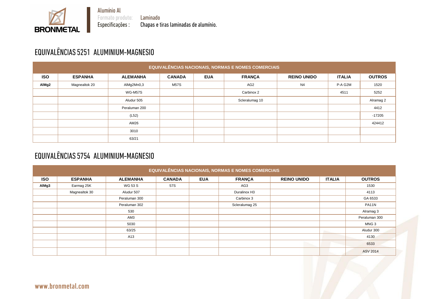Laminado Chapas e tiras laminadas de alumínio.

# EQUIVALÊNCIAS 5251 ALUMINIUM-MAGNESIO

**BRONMETAL** 

|            | <b>EQUIVALÊNCIAS NACIONAIS, NORMAS E NOMES COMERCIAIS</b> |                 |               |            |                 |                    |               |               |  |  |  |  |  |
|------------|-----------------------------------------------------------|-----------------|---------------|------------|-----------------|--------------------|---------------|---------------|--|--|--|--|--|
| <b>ISO</b> | <b>ESPANHA</b>                                            | <b>ALEMANHA</b> | <b>CANADA</b> | <b>EUA</b> | <b>FRANÇA</b>   | <b>REINO UNIDO</b> | <b>ITALIA</b> | <b>OUTROS</b> |  |  |  |  |  |
| AlMg2      | Magnealtok 20                                             | AIMg2Mn0,3      | <b>M57S</b>   |            | AG <sub>2</sub> | N <sub>4</sub>     | P-A G2M       | 1520          |  |  |  |  |  |
|            |                                                           | WG-M57S         |               |            | Carbinox 2      |                    | 4511          | 5252          |  |  |  |  |  |
|            |                                                           | Aludur 505      |               |            | Scleralumag 10  |                    |               | Alramag 2     |  |  |  |  |  |
|            |                                                           | Peraluman 200   |               |            |                 |                    |               | 4412          |  |  |  |  |  |
|            |                                                           | (L52)           |               |            |                 |                    |               | $-17205$      |  |  |  |  |  |
|            |                                                           | AM26            |               |            |                 |                    |               | 424412        |  |  |  |  |  |
|            |                                                           | 3010            |               |            |                 |                    |               |               |  |  |  |  |  |
|            |                                                           | 63/21           |               |            |                 |                    |               |               |  |  |  |  |  |

## EQUIVALÊNCIAS 5754 ALUMINIUM-MAGNESIO

|            | EQUIVALÊNCIAS NACIONAIS, NORMAS E NOMES COMERCIAIS |                 |               |            |                |                    |               |                  |  |  |  |  |  |
|------------|----------------------------------------------------|-----------------|---------------|------------|----------------|--------------------|---------------|------------------|--|--|--|--|--|
| <b>ISO</b> | <b>ESPANHA</b>                                     | <b>ALEMANHA</b> | <b>CANADA</b> | <b>EUA</b> | <b>FRANÇA</b>  | <b>REINO UNIDO</b> | <b>ITALIA</b> | <b>OUTROS</b>    |  |  |  |  |  |
| AIMg3      | Earmag 25K                                         | WG 53 S         | 57S           |            | AG3            |                    |               | 1530             |  |  |  |  |  |
|            | Magnealtok 30                                      | Aludur 507      |               |            | Duralinox H3   |                    |               | 4113             |  |  |  |  |  |
|            |                                                    | Peraluman 300   |               |            | Carbinox 3     |                    |               | GA 6533          |  |  |  |  |  |
|            |                                                    | Peraluman 302   |               |            | Scleralumag 25 |                    |               | PA11N            |  |  |  |  |  |
|            |                                                    | 530             |               |            |                |                    |               | Alramag 3        |  |  |  |  |  |
|            |                                                    | AM3             |               |            |                |                    |               | Peraluman 300    |  |  |  |  |  |
|            |                                                    | 5030            |               |            |                |                    |               | MNG <sub>3</sub> |  |  |  |  |  |
|            |                                                    | 63/25           |               |            |                |                    |               | Aludur 300       |  |  |  |  |  |
|            |                                                    | A13             |               |            |                |                    |               | 4130             |  |  |  |  |  |
|            |                                                    |                 |               |            |                |                    |               | 6533             |  |  |  |  |  |
|            |                                                    |                 |               |            |                |                    |               | <b>ASV 2014</b>  |  |  |  |  |  |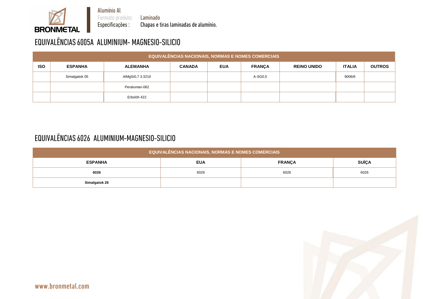Laminado Chapas e tiras laminadas de alumínio.

# EQUIVALÊNCIAS 6005A ALUMINIUM- MAGNESIO-SILICIO

**BRONMETAL** 

|            | <b>EQUIVALÊNCIAS NACIONAIS, NORMAS E NOMES COMERCIAIS</b> |                  |               |            |               |                    |               |               |  |  |  |  |  |
|------------|-----------------------------------------------------------|------------------|---------------|------------|---------------|--------------------|---------------|---------------|--|--|--|--|--|
| <b>ISO</b> | <b>ESPANHA</b>                                            | <b>ALEMANHA</b>  | <b>CANADA</b> | <b>EUA</b> | <b>FRANÇA</b> | <b>REINO UNIDO</b> | <b>ITALIA</b> | <b>OUTROS</b> |  |  |  |  |  |
|            | Simalgatok 05                                             | AlMgSi0,7 3.3210 |               |            | A-SG0,5       |                    | 9006/6        |               |  |  |  |  |  |
|            |                                                           | Peraluman-062    |               |            |               |                    |               |               |  |  |  |  |  |
|            |                                                           | Erbslöh 422      |               |            |               |                    |               |               |  |  |  |  |  |

### EQUIVALÊNCIAS 6026 ALUMINIUM-MAGNESIO-SILICIO

| <b>EQUIVALÊNCIAS NACIONAIS, NORMAS E NOMES COMERCIAIS</b> |                                             |      |      |  |  |  |  |  |  |  |  |  |
|-----------------------------------------------------------|---------------------------------------------|------|------|--|--|--|--|--|--|--|--|--|
| <b>ESPANHA</b>                                            | <b>SUÍÇA</b><br><b>EUA</b><br><b>FRANÇA</b> |      |      |  |  |  |  |  |  |  |  |  |
| 6026                                                      | 6026                                        | 6026 | 6026 |  |  |  |  |  |  |  |  |  |
| <b>Simalgatok 26</b>                                      |                                             |      |      |  |  |  |  |  |  |  |  |  |

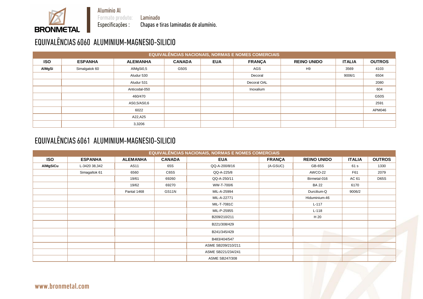Alumínio Al

Formato produto:<br>Especificações :

Laminado Chapas e tiras laminadas de alumínio.

# EQUIVALÊNCIAS 6060 ALUMINIUM-MAGNESIO-SILICIO

**BRONMETAL** 

|            | <b>EQUIVALÊNCIAS NACIONAIS, NORMAS E NOMES COMERCIAIS</b> |                 |               |            |               |                    |               |               |  |  |  |  |  |
|------------|-----------------------------------------------------------|-----------------|---------------|------------|---------------|--------------------|---------------|---------------|--|--|--|--|--|
| <b>ISO</b> | <b>ESPANHA</b>                                            | <b>ALEMANHA</b> | <b>CANADA</b> | <b>EUA</b> | <b>FRANÇA</b> | <b>REINO UNIDO</b> | <b>ITALIA</b> | <b>OUTROS</b> |  |  |  |  |  |
| AIMgSi     | Simalgatok 60                                             | AlMgSi0,5       | G50S          |            | AGS           | H <sub>9</sub>     | 3569          | 4103          |  |  |  |  |  |
|            |                                                           | Aludur 530      |               |            | Decoral       |                    | 9006/1        | 6504          |  |  |  |  |  |
|            |                                                           | Aludur 531      |               |            | Decoral OAL   |                    |               | 2080          |  |  |  |  |  |
|            |                                                           | Anticodal-050   |               |            | Inoxalium     |                    |               | 604           |  |  |  |  |  |
|            |                                                           | 460/470         |               |            |               |                    |               | G50S          |  |  |  |  |  |
|            |                                                           | AS0,5/AS0,6     |               |            |               |                    |               | 2591          |  |  |  |  |  |
|            |                                                           | 6022            |               |            |               |                    |               | APM046        |  |  |  |  |  |
|            |                                                           | A22,A25         |               |            |               |                    |               |               |  |  |  |  |  |
|            |                                                           | 3,3206          |               |            |               |                    |               |               |  |  |  |  |  |

#### EQUIVALÊNCIAS 6061 ALUMINIUM-MAGNESIO-SILICIO

|                 |                |                 |               | <b>EQUIVALÊNCIAS NACIONAIS, NORMAS E NOMES COMERCIAIS</b> |               |                    |               |               |
|-----------------|----------------|-----------------|---------------|-----------------------------------------------------------|---------------|--------------------|---------------|---------------|
| <b>ISO</b>      | <b>ESPANHA</b> | <b>ALEMANHA</b> | <b>CANADA</b> | <b>EUA</b>                                                | <b>FRANÇA</b> | <b>REINO UNIDO</b> | <b>ITALIA</b> | <b>OUTROS</b> |
| <b>AIMgSiCu</b> | L-3420 38,342  | <b>AS11</b>     | 65S           | QQ-A-200/8/16                                             | $(A-GSUC)$    | GB-65S             | 61 s          | 1330          |
|                 | Simagaltok 61  | 6560            | C65S          | QQ-A-225/8                                                |               | AWCO-22            | F61           | 2079          |
|                 |                | 19/61           | 69260         | QQ-A-250/11                                               |               | Birmetal-016       | AC 61         | <b>D65S</b>   |
|                 |                | 19/62           | 69270         | WW-T-700/6                                                |               | <b>BA 22</b>       | 6170          |               |
|                 |                | Pantal 1468     | GS11N         | MIL-A-25994                                               |               | Durcilium-Q        | 9006/2        |               |
|                 |                |                 |               | MIL-A-22771                                               |               | Hiduminium-46      |               |               |
|                 |                |                 |               | MIL-T-7081C                                               |               | $L-117$            |               |               |
|                 |                |                 |               | MIL-P-25955                                               |               | $L-118$            |               |               |
|                 |                |                 |               | B209/210/211                                              |               | H 20               |               |               |
|                 |                |                 |               | B221/308/429                                              |               |                    |               |               |
|                 |                |                 |               | B241/345/429                                              |               |                    |               |               |
|                 |                |                 |               | B483/404/547                                              |               |                    |               |               |
|                 |                |                 |               | ASME SB209/210/211                                        |               |                    |               |               |
|                 |                |                 |               | ASME SB221/234/241                                        |               |                    |               |               |
|                 |                |                 |               | <b>ASME SB247/308</b>                                     |               |                    |               |               |

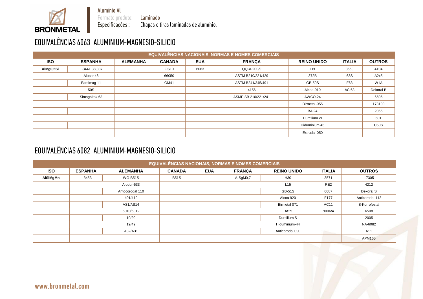Alumínio Al

Formato produto:<br>Especificações :

Laminado Chapas e tiras laminadas de alumínio.

# EQUIVALÊNCIAS 6063 ALUMINIUM-MAGNESIO-SILICIO

**BRONMETAL** 

|            |                |                 |               |            | <b>EQUIVALÊNCIAS NACIONAIS, NORMAS E NOMES COMERCIAIS</b> |                    |               |                  |
|------------|----------------|-----------------|---------------|------------|-----------------------------------------------------------|--------------------|---------------|------------------|
| <b>ISO</b> | <b>ESPANHA</b> | <b>ALEMANHA</b> | <b>CANADA</b> | <b>EUA</b> | <b>FRANÇA</b>                                             | <b>REINO UNIDO</b> | <b>ITALIA</b> | <b>OUTROS</b>    |
| AIMg0,5Si  | L-3441 38,337  |                 | GS10          | 6063       | QQ-A-200/9                                                | H9                 | 3569          | 4104             |
|            | Alucor 46      |                 | 66050         |            | ASTM B210/221/429                                         | 372B               | 63S           | A2x5             |
|            | Earsimag 11    |                 | GM41          |            | ASTM B241/345/491                                         | <b>GB-50S</b>      | F63           | W <sub>1</sub> A |
|            | 50S            |                 |               |            | 4156                                                      | Alcoa-910          | AC 63         | Dekoral B        |
|            | Simagaltok 63  |                 |               |            | ASME SB 210/221/241                                       | AWCO-24            |               | 6506             |
|            |                |                 |               |            |                                                           | Birmetal-055       |               | 173190           |
|            |                |                 |               |            |                                                           | <b>BA 24</b>       |               | 2055             |
|            |                |                 |               |            |                                                           | Durcilium W        |               | 601              |
|            |                |                 |               |            |                                                           | Hiduminium 46      |               | C50S             |
|            |                |                 |               |            |                                                           | Extrudal-050       |               |                  |

#### EQUIVALÊNCIAS 6082 ALUMINIUM-MAGNESIO-SILICIO

| <b>EQUIVALÊNCIAS NACIONAIS, NORMAS E NOMES COMERCIAIS</b> |                                                                                                                                           |                 |             |  |          |                 |                 |                 |  |  |  |
|-----------------------------------------------------------|-------------------------------------------------------------------------------------------------------------------------------------------|-----------------|-------------|--|----------|-----------------|-----------------|-----------------|--|--|--|
| <b>ISO</b>                                                | <b>ESPANHA</b><br><b>ITALIA</b><br><b>CANADA</b><br><b>EUA</b><br><b>FRANÇA</b><br><b>REINO UNIDO</b><br><b>OUTROS</b><br><b>ALEMANHA</b> |                 |             |  |          |                 |                 |                 |  |  |  |
| AlSiMgMn                                                  | L-3453                                                                                                                                    | <b>WG-B51S</b>  | <b>B51S</b> |  | A-SgM0,7 | H <sub>30</sub> | 3571            | 17305           |  |  |  |
|                                                           |                                                                                                                                           | Aludur-533      |             |  |          | L15             | RE <sub>2</sub> | 4212            |  |  |  |
|                                                           |                                                                                                                                           | Antocorodal 110 |             |  |          | <b>GB-51S</b>   | 6087            | Dekoral S       |  |  |  |
|                                                           |                                                                                                                                           | 401/410         |             |  |          | Alcoa 920       | F177            | Anticorodal 112 |  |  |  |
|                                                           |                                                                                                                                           | <b>AS1/AS14</b> |             |  |          | Birmetal 071    | <b>AC11</b>     | S-Korrofestal   |  |  |  |
|                                                           |                                                                                                                                           | 6010/6012       |             |  |          | <b>BA25</b>     | 9006/4          | 6508            |  |  |  |
|                                                           |                                                                                                                                           | 19/20           |             |  |          | Durcilium S     |                 | 2005            |  |  |  |
|                                                           |                                                                                                                                           | 19/49           |             |  |          | Hiduminium-44   |                 | NA-6082         |  |  |  |
|                                                           |                                                                                                                                           | A32/A31         |             |  |          | Anticorodal 090 | <b>POLI</b>     | 611             |  |  |  |
|                                                           |                                                                                                                                           |                 |             |  |          |                 |                 | <b>APM165</b>   |  |  |  |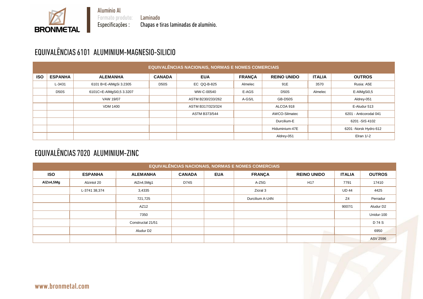

Laminado Chapas e tiras laminadas de alumínio.

# EQUIVALÊNCIAS 6101 ALUMINIUM-MAGNESIO-SILICIO

**BRONMETAL** 

| <b>EQUIVALÊNCIAS NACIONAIS, NORMAS E NOMES COMERCIAIS</b> |                            |                          |                 |                   |               |                    |                        |                        |  |
|-----------------------------------------------------------|----------------------------|--------------------------|-----------------|-------------------|---------------|--------------------|------------------------|------------------------|--|
| <b>ISO</b>                                                | <b>ESPANHA</b>             | <b>ALEMANHA</b>          | <b>CANADA</b>   | <b>EUA</b>        | <b>FRANÇA</b> | <b>REINO UNIDO</b> | <b>ITALIA</b>          | <b>OUTROS</b>          |  |
|                                                           | L-3431                     | 6101 B=E-AIMgSi 3.2305   | <b>D50S</b>     | EC QQ-B-825       | Almelec       | 91E                | 3570                   | Rusia: A5E             |  |
|                                                           | <b>D50S</b>                | 6101C=E-AlMgSi0,5 3.3207 |                 | WW-C-00540        | E-AGS         | <b>D50S</b>        | Almelec                | E-AIMgSi0,5            |  |
|                                                           |                            | VAW 19/07                |                 | ASTM B230/233/262 | A-GS/L        | GB-D50S            |                        | Aldrey-051             |  |
|                                                           |                            | <b>VDM 1400</b>          |                 | ASTM B317/323/324 |               | ALCOA 918          |                        | E-Aludur 513           |  |
|                                                           |                            |                          |                 | ASTM B373/544     | AWCO-Silmatec |                    | 6201 - Anticorodal 041 |                        |  |
|                                                           | Durcilium-E                |                          | 6201 - SIS 4102 |                   |               |                    |                        |                        |  |
|                                                           |                            |                          |                 |                   |               | Hiduminium-47E     |                        | 6201 - Norsk Hydro 612 |  |
|                                                           | Elran $1/-2$<br>Aldrey-051 |                          |                 |                   |               |                    |                        |                        |  |

## EQUIVALÊNCIAS 7020 ALUMINIUM-ZINC

| <b>EQUIVALÊNCIAS NACIONAIS, NORMAS E NOMES COMERCIAIS</b> |                |                   |               |            |                 |                    |                |                       |  |  |
|-----------------------------------------------------------|----------------|-------------------|---------------|------------|-----------------|--------------------|----------------|-----------------------|--|--|
| <b>ISO</b>                                                | <b>ESPANHA</b> | <b>ALEMANHA</b>   | <b>CANADA</b> | <b>EUA</b> | <b>FRANÇA</b>   | <b>REINO UNIDO</b> | <b>ITALIA</b>  | <b>OUTROS</b>         |  |  |
| AlZn4,5Mg                                                 | Alzintol 20    | AlZn4,5Mg1        | <b>D74S</b>   |            | A-Z5G           | H <sub>17</sub>    | 7791           | 17410                 |  |  |
|                                                           | L-3741 38,374  | 3,4335            |               |            | Zicral 3        |                    | <b>UD 44</b>   | 4425                  |  |  |
|                                                           |                | 721,725           |               |            | Durcilium A-U4N |                    | Z <sub>4</sub> | Perradur              |  |  |
|                                                           |                | AZ12              |               |            |                 |                    | 9007/1         | Aludur D <sub>2</sub> |  |  |
|                                                           |                | 7350              |               |            |                 |                    |                | Unidur-100            |  |  |
|                                                           |                | Constructal 21/51 |               |            |                 |                    |                | D 74 S                |  |  |
|                                                           |                | Aludur D2         |               |            |                 |                    |                | 6950                  |  |  |
|                                                           |                |                   |               |            |                 |                    |                | <b>ASV 2596</b>       |  |  |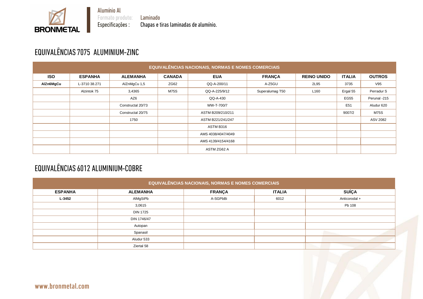Laminado Chapas e tiras laminadas de alumínio.

## EQUIVALÊNCIAS 7075 ALUMINIUM-ZINC

**BRONMETAL** 

| <b>EQUIVALÊNCIAS NACIONAIS, NORMAS E NOMES COMERCIAIS</b> |                |                   |               |                    |                 |                    |                 |               |  |
|-----------------------------------------------------------|----------------|-------------------|---------------|--------------------|-----------------|--------------------|-----------------|---------------|--|
| <b>ISO</b>                                                | <b>ESPANHA</b> | <b>ALEMANHA</b>   | <b>CANADA</b> | <b>EUA</b>         | <b>FRANÇA</b>   | <b>REINO UNIDO</b> | <b>ITALIA</b>   | <b>OUTROS</b> |  |
| AlZn6MgCu                                                 | L-3710 38.271  | AlZnMgCu 1,5      | ZG62          | QQ-A-200/11        | A-Z5GU          | 2L95               | 3735            | V95           |  |
|                                                           | Alzintok 75    | 3,4365            | <b>M75S</b>   | QQ-A-225/9/12      | Superalumag T50 | L160               | Ergal 55        | Perradur S    |  |
|                                                           |                | AZ6               |               | QQ-A-430           |                 |                    | <b>EG55</b>     | Perunal -215  |  |
|                                                           |                | Constructal 20/73 |               | WW-T-700/7         |                 |                    | E <sub>51</sub> | Aludur 620    |  |
|                                                           |                | Constructal 20/75 |               | ASTM B209/210/211  |                 |                    | 9007/2          | <b>M75S</b>   |  |
|                                                           |                | 1750              |               | ASTM B221/241/247  |                 |                    |                 | ASV 2082      |  |
|                                                           |                |                   |               | ASTM B316          |                 |                    |                 |               |  |
|                                                           |                |                   |               | AMS 4038/4047/4049 |                 |                    |                 |               |  |
|                                                           |                |                   |               | AMS 4139/4154/4168 |                 |                    |                 |               |  |
|                                                           |                |                   |               | ASTM ZG62 A        |                 |                    |                 |               |  |

## EQUIVALÊNCIAS 6012 ALUMINIUM-COBRE

| EQUIVALÊNCIAS NACIONAIS, NORMAS E NOMES COMERCIAIS |                 |               |               |               |  |  |  |  |  |
|----------------------------------------------------|-----------------|---------------|---------------|---------------|--|--|--|--|--|
| <b>ESPANHA</b>                                     | <b>ALEMANHA</b> | <b>FRANÇA</b> | <b>ITALIA</b> | <b>SUÍÇA</b>  |  |  |  |  |  |
| $L - 3452$                                         | AIMgSiPb        | A-SGPbBi      | 6012          | Anticorodal + |  |  |  |  |  |
|                                                    | 3,0615          |               |               | Pb 108        |  |  |  |  |  |
|                                                    | <b>DIN 1725</b> |               |               |               |  |  |  |  |  |
|                                                    | DIN 1746/47     |               |               |               |  |  |  |  |  |
|                                                    | Autopan         |               |               |               |  |  |  |  |  |
|                                                    | Spanasil        |               |               |               |  |  |  |  |  |
|                                                    | Aludur 533      |               |               |               |  |  |  |  |  |
|                                                    | Ziertal 58      |               |               |               |  |  |  |  |  |